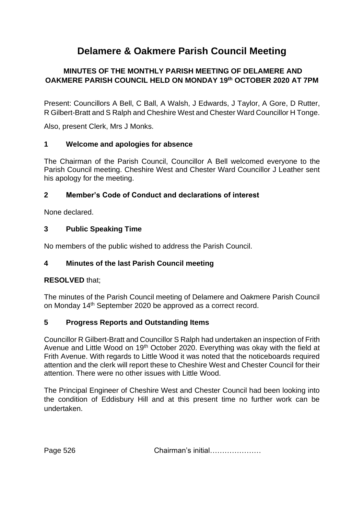# **Delamere & Oakmere Parish Council Meeting**

## **MINUTES OF THE MONTHLY PARISH MEETING OF DELAMERE AND OAKMERE PARISH COUNCIL HELD ON MONDAY 19 th OCTOBER 2020 AT 7PM**

Present: Councillors A Bell, C Ball, A Walsh, J Edwards, J Taylor, A Gore, D Rutter, R Gilbert-Bratt and S Ralph and Cheshire West and Chester Ward Councillor H Tonge.

Also, present Clerk, Mrs J Monks.

### **1 Welcome and apologies for absence**

The Chairman of the Parish Council, Councillor A Bell welcomed everyone to the Parish Council meeting. Cheshire West and Chester Ward Councillor J Leather sent his apology for the meeting.

### **2 Member's Code of Conduct and declarations of interest**

None declared.

### **3 Public Speaking Time**

No members of the public wished to address the Parish Council.

### **4 Minutes of the last Parish Council meeting**

### **RESOLVED** that;

The minutes of the Parish Council meeting of Delamere and Oakmere Parish Council on Monday 14<sup>th</sup> September 2020 be approved as a correct record.

### **5 Progress Reports and Outstanding Items**

Councillor R Gilbert-Bratt and Councillor S Ralph had undertaken an inspection of Frith Avenue and Little Wood on 19<sup>th</sup> October 2020. Everything was okay with the field at Frith Avenue. With regards to Little Wood it was noted that the noticeboards required attention and the clerk will report these to Cheshire West and Chester Council for their attention. There were no other issues with Little Wood.

The Principal Engineer of Cheshire West and Chester Council had been looking into the condition of Eddisbury Hill and at this present time no further work can be undertaken.

Page 526 **Chairman's initial…………………**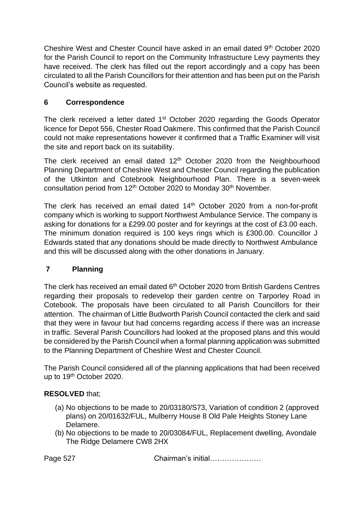Cheshire West and Chester Council have asked in an email dated  $9<sup>th</sup>$  October 2020 for the Parish Council to report on the Community Infrastructure Levy payments they have received. The clerk has filled out the report accordingly and a copy has been circulated to all the Parish Councillors for their attention and has been put on the Parish Council's website as requested.

## **6 Correspondence**

The clerk received a letter dated 1<sup>st</sup> October 2020 regarding the Goods Operator licence for Depot 556, Chester Road Oakmere. This confirmed that the Parish Council could not make representations however it confirmed that a Traffic Examiner will visit the site and report back on its suitability.

The clerk received an email dated  $12<sup>th</sup>$  October 2020 from the Neighbourhood Planning Department of Cheshire West and Chester Council regarding the publication of the Utkinton and Cotebrook Neighbourhood Plan. There is a seven-week consultation period from 12<sup>th</sup> October 2020 to Monday 30<sup>th</sup> November.

The clerk has received an email dated 14th October 2020 from a non-for-profit company which is working to support Northwest Ambulance Service. The company is asking for donations for a £299.00 poster and for keyrings at the cost of £3.00 each. The minimum donation required is 100 keys rings which is £300.00. Councillor J Edwards stated that any donations should be made directly to Northwest Ambulance and this will be discussed along with the other donations in January.

## **7 Planning**

The clerk has received an email dated  $6<sup>th</sup>$  October 2020 from British Gardens Centres regarding their proposals to redevelop their garden centre on Tarporley Road in Cotebook. The proposals have been circulated to all Parish Councillors for their attention. The chairman of Little Budworth Parish Council contacted the clerk and said that they were in favour but had concerns regarding access if there was an increase in traffic. Several Parish Councillors had looked at the proposed plans and this would be considered by the Parish Council when a formal planning application was submitted to the Planning Department of Cheshire West and Chester Council.

The Parish Council considered all of the planning applications that had been received up to 19<sup>th</sup> October 2020.

### **RESOLVED** that;

- (a) No objections to be made to 20/03180/S73, Variation of condition 2 (approved plans) on 20/01632/FUL, Mulberry House 8 Old Pale Heights Stoney Lane Delamere.
- (b) No objections to be made to 20/03084/FUL, Replacement dwelling, Avondale The Ridge Delamere CW8 2HX

Page 527 **Chairman's initial………………**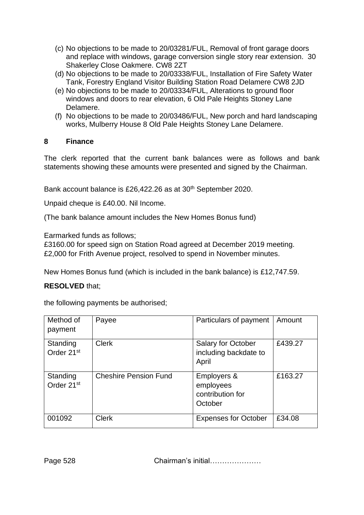- (c) No objections to be made to 20/03281/FUL, Removal of front garage doors and replace with windows, garage conversion single story rear extension. 30 Shakerley Close Oakmere. CW8 2ZT
- (d) No objections to be made to 20/03338/FUL, Installation of Fire Safety Water Tank, Forestry England Visitor Building Station Road Delamere CW8 2JD
- (e) No objections to be made to 20/03334/FUL, Alterations to ground floor windows and doors to rear elevation, 6 Old Pale Heights Stoney Lane Delamere.
- (f) No objections to be made to 20/03486/FUL, New porch and hard landscaping works, Mulberry House 8 Old Pale Heights Stoney Lane Delamere.

### **8 Finance**

The clerk reported that the current bank balances were as follows and bank statements showing these amounts were presented and signed by the Chairman.

Bank account balance is £26,422.26 as at 30<sup>th</sup> September 2020.

Unpaid cheque is £40.00. Nil Income.

(The bank balance amount includes the New Homes Bonus fund)

Earmarked funds as follows;

£3160.00 for speed sign on Station Road agreed at December 2019 meeting. £2,000 for Frith Avenue project, resolved to spend in November minutes.

New Homes Bonus fund (which is included in the bank balance) is £12,747.59.

### **RESOLVED** that;

the following payments be authorised;

| Method of<br>payment               | Payee                        | Particulars of payment                                  | Amount  |
|------------------------------------|------------------------------|---------------------------------------------------------|---------|
| Standing<br>Order 21 <sup>st</sup> | <b>Clerk</b>                 | Salary for October<br>including backdate to<br>April    | £439.27 |
| Standing<br>Order 21 <sup>st</sup> | <b>Cheshire Pension Fund</b> | Employers &<br>employees<br>contribution for<br>October | £163.27 |
| 001092                             | <b>Clerk</b>                 | <b>Expenses for October</b>                             | £34.08  |

Page 528 Chairman's initial…………………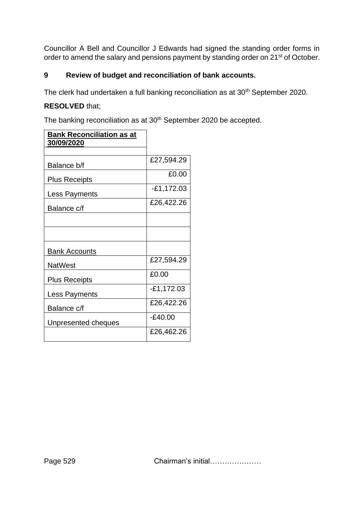Councillor A Bell and Councillor J Edwards had signed the standing order forms in order to amend the salary and pensions payment by standing order on 21<sup>st</sup> of October.

## **9 Review of budget and reconciliation of bank accounts.**

The clerk had undertaken a full banking reconciliation as at 30<sup>th</sup> September 2020.

### **RESOLVED** that;

The banking reconciliation as at 30<sup>th</sup> September 2020 be accepted.

| <b>Bank Reconciliation as at</b><br><b>30/09/2020</b> |              |
|-------------------------------------------------------|--------------|
|                                                       |              |
| Balance b/f                                           | £27,594.29   |
| <b>Plus Receipts</b>                                  | £0.00        |
| Less Payments                                         | $-£1,172.03$ |
| Balance c/f                                           | £26,422.26   |
|                                                       |              |
|                                                       |              |
| <b>Bank Accounts</b>                                  |              |
| <b>NatWest</b>                                        | £27,594.29   |
| <b>Plus Receipts</b>                                  | £0.00        |
| Less Payments                                         | $-£1,172.03$ |
| Balance c/f                                           | £26,422.26   |
| Unpresented cheques                                   | $-E40.00$    |
|                                                       | £26,462.26   |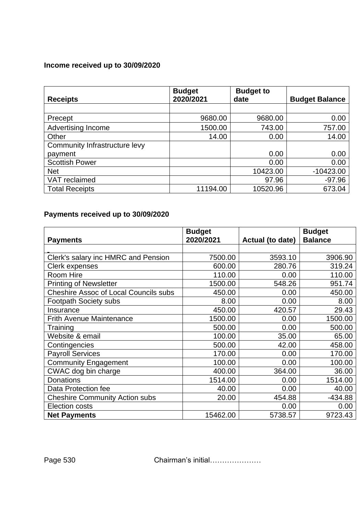## **Income received up to 30/09/2020**

| <b>Receipts</b>               | <b>Budget</b><br>2020/2021 | <b>Budget to</b><br>date | <b>Budget Balance</b> |
|-------------------------------|----------------------------|--------------------------|-----------------------|
|                               |                            |                          |                       |
| Precept                       | 9680.00                    | 9680.00                  | 0.00                  |
| <b>Advertising Income</b>     | 1500.00                    | 743.00                   | 757.00                |
| Other                         | 14.00                      | 0.00                     | 14.00                 |
| Community Infrastructure levy |                            |                          |                       |
| payment                       |                            | 0.00                     | 0.00                  |
| <b>Scottish Power</b>         |                            | 0.00                     | 0.00                  |
| <b>Net</b>                    |                            | 10423.00                 | $-10423.00$           |
| VAT reclaimed                 |                            | 97.96                    | $-97.96$              |
| <b>Total Receipts</b>         | 11194.00                   | 10520.96                 | 673.04                |

## **Payments received up to 30/09/2020**

|                                              | <b>Budget</b> |                  | <b>Budget</b>  |
|----------------------------------------------|---------------|------------------|----------------|
| <b>Payments</b>                              | 2020/2021     | Actual (to date) | <b>Balance</b> |
|                                              |               |                  |                |
| Clerk's salary inc HMRC and Pension          | 7500.00       | 3593.10          | 3906.90        |
| <b>Clerk expenses</b>                        | 600.00        | 280.76           | 319.24         |
| Room Hire                                    | 110.00        | 0.00             | 110.00         |
| <b>Printing of Newsletter</b>                | 1500.00       | 548.26           | 951.74         |
| <b>Cheshire Assoc of Local Councils subs</b> | 450.00        | 0.00             | 450.00         |
| <b>Footpath Society subs</b>                 | 8.00          | 0.00             | 8.00           |
| Insurance                                    | 450.00        | 420.57           | 29.43          |
| <b>Frith Avenue Maintenance</b>              | 1500.00       | 0.00             | 1500.00        |
| Training                                     | 500.00        | 0.00             | 500.00         |
| Website & email                              | 100.00        | 35.00            | 65.00          |
| Contingencies                                | 500.00        | 42.00            | 458.00         |
| <b>Payroll Services</b>                      | 170.00        | 0.00             | 170.00         |
| <b>Community Engagement</b>                  | 100.00        | 0.00             | 100.00         |
| CWAC dog bin charge                          | 400.00        | 364.00           | 36.00          |
| <b>Donations</b>                             | 1514.00       | 0.00             | 1514.00        |
| Data Protection fee                          | 40.00         | 0.00             | 40.00          |
| <b>Cheshire Community Action subs</b>        | 20.00         | 454.88           | $-434.88$      |
| <b>Election costs</b>                        |               | 0.00             | 0.00           |
| <b>Net Payments</b>                          | 15462.00      | 5738.57          | 9723.43        |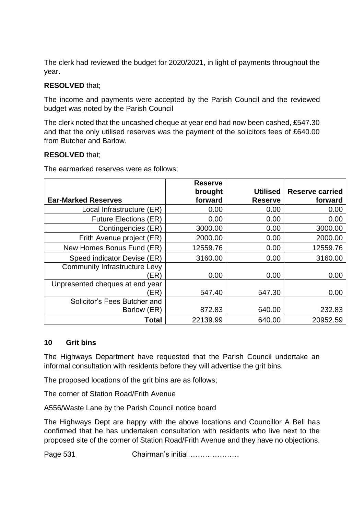The clerk had reviewed the budget for 2020/2021, in light of payments throughout the year.

### **RESOLVED** that;

The income and payments were accepted by the Parish Council and the reviewed budget was noted by the Parish Council

The clerk noted that the uncashed cheque at year end had now been cashed, £547.30 and that the only utilised reserves was the payment of the solicitors fees of £640.00 from Butcher and Barlow.

### **RESOLVED** that;

The earmarked reserves were as follows;

|                                              | <b>Reserve</b> |                 |                        |
|----------------------------------------------|----------------|-----------------|------------------------|
|                                              | brought        | <b>Utilised</b> | <b>Reserve carried</b> |
| <b>Ear-Marked Reserves</b>                   | forward        | <b>Reserve</b>  | forward                |
| Local Infrastructure (ER)                    | 0.00           | 0.00            | 0.00                   |
| <b>Future Elections (ER)</b>                 | 0.00           | 0.00            | 0.00                   |
| Contingencies (ER)                           | 3000.00        | 0.00            | 3000.00                |
| Frith Avenue project (ER)                    | 2000.00        | 0.00            | 2000.00                |
| New Homes Bonus Fund (ER)                    | 12559.76       | 0.00            | 12559.76               |
| Speed indicator Devise (ER)                  | 3160.00        | 0.00            | 3160.00                |
| <b>Community Infrastructure Levy</b><br>'ER) | 0.00           | 0.00            | 0.00                   |
| Unpresented cheques at end year<br>(ER)      | 547.40         | 547.30          | 0.00                   |
| Solicitor's Fees Butcher and                 |                |                 |                        |
| Barlow (ER)                                  | 872.83         | 640.00          | 232.83                 |
| Total                                        | 22139.99       | 640.00          | 20952.59               |

### **10 Grit bins**

The Highways Department have requested that the Parish Council undertake an informal consultation with residents before they will advertise the grit bins.

The proposed locations of the grit bins are as follows;

The corner of Station Road/Frith Avenue

A556/Waste Lane by the Parish Council notice board

The Highways Dept are happy with the above locations and Councillor A Bell has confirmed that he has undertaken consultation with residents who live next to the proposed site of the corner of Station Road/Frith Avenue and they have no objections.

Page 531 Chairman's initial…………………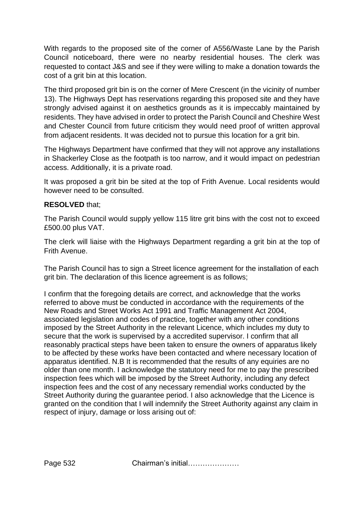With regards to the proposed site of the corner of A556/Waste Lane by the Parish Council noticeboard, there were no nearby residential houses. The clerk was requested to contact J&S and see if they were willing to make a donation towards the cost of a grit bin at this location.

The third proposed grit bin is on the corner of Mere Crescent (in the vicinity of number 13). The Highways Dept has reservations regarding this proposed site and they have strongly advised against it on aesthetics grounds as it is impeccably maintained by residents. They have advised in order to protect the Parish Council and Cheshire West and Chester Council from future criticism they would need proof of written approval from adjacent residents. It was decided not to pursue this location for a grit bin.

The Highways Department have confirmed that they will not approve any installations in Shackerley Close as the footpath is too narrow, and it would impact on pedestrian access. Additionally, it is a private road.

It was proposed a grit bin be sited at the top of Frith Avenue. Local residents would however need to be consulted.

### **RESOLVED** that;

The Parish Council would supply yellow 115 litre grit bins with the cost not to exceed £500.00 plus VAT.

The clerk will liaise with the Highways Department regarding a grit bin at the top of Frith Avenue.

The Parish Council has to sign a Street licence agreement for the installation of each grit bin. The declaration of this licence agreement is as follows;

I confirm that the foregoing details are correct, and acknowledge that the works referred to above must be conducted in accordance with the requirements of the New Roads and Street Works Act 1991 and Traffic Management Act 2004, associated legislation and codes of practice, together with any other conditions imposed by the Street Authority in the relevant Licence, which includes my duty to secure that the work is supervised by a accredited supervisor. I confirm that all reasonably practical steps have been taken to ensure the owners of apparatus likely to be affected by these works have been contacted and where necessary location of apparatus identified. N.B It is recommended that the results of any equiries are no older than one month. I acknowledge the statutory need for me to pay the prescribed inspection fees which will be imposed by the Street Authority, including any defect inspection fees and the cost of any necessary remendial works conducted by the Street Authority during the guarantee period. I also acknowledge that the Licence is granted on the condition that I will indemnify the Street Authority against any claim in respect of injury, damage or loss arising out of:

Page 532 **Chairman's initial…………………**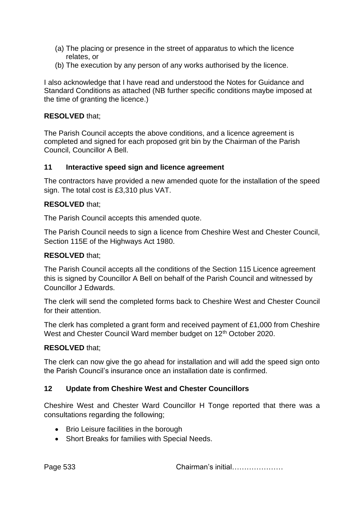- (a) The placing or presence in the street of apparatus to which the licence relates, or
- (b) The execution by any person of any works authorised by the licence.

I also acknowledge that I have read and understood the Notes for Guidance and Standard Conditions as attached (NB further specific conditions maybe imposed at the time of granting the licence.)

### **RESOLVED** that;

The Parish Council accepts the above conditions, and a licence agreement is completed and signed for each proposed grit bin by the Chairman of the Parish Council, Councillor A Bell.

### **11 Interactive speed sign and licence agreement**

The contractors have provided a new amended quote for the installation of the speed sign. The total cost is £3,310 plus VAT.

### **RESOLVED** that;

The Parish Council accepts this amended quote.

The Parish Council needs to sign a licence from Cheshire West and Chester Council, Section 115E of the Highways Act 1980.

### **RESOLVED** that;

The Parish Council accepts all the conditions of the Section 115 Licence agreement this is signed by Councillor A Bell on behalf of the Parish Council and witnessed by Councillor J Edwards.

The clerk will send the completed forms back to Cheshire West and Chester Council for their attention.

The clerk has completed a grant form and received payment of £1,000 from Cheshire West and Chester Council Ward member budget on 12<sup>th</sup> October 2020.

### **RESOLVED** that;

The clerk can now give the go ahead for installation and will add the speed sign onto the Parish Council's insurance once an installation date is confirmed.

### **12 Update from Cheshire West and Chester Councillors**

Cheshire West and Chester Ward Councillor H Tonge reported that there was a consultations regarding the following;

- Brio Leisure facilities in the borough
- Short Breaks for families with Special Needs.

Page 533 **Chairman's initial…………………**